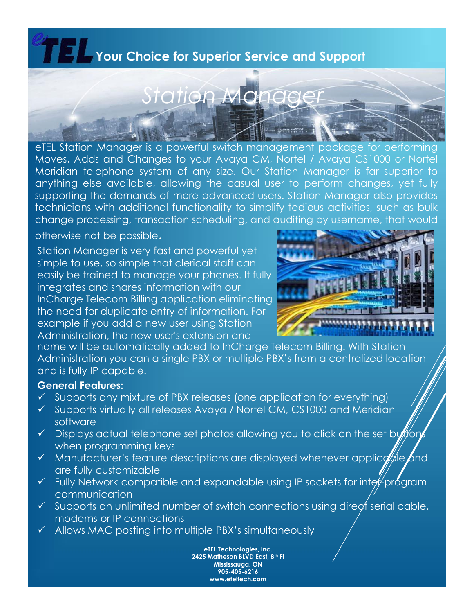## **Your Choice for Superior Service and Support**



eTEL Station Manager is a powerful switch management package for performing Moves, Adds and Changes to your Avaya CM, Nortel / Avaya CS1000 or Nortel Meridian telephone system of any size. Our Station Manager is far superior to anything else available, allowing the casual user to perform changes, yet fully supporting the demands of more advanced users. Station Manager also provides technicians with additional functionality to simplify tedious activities, such as bulk change processing, transaction scheduling, and auditing by username, that would

otherwise not be possible.

Station Manager is very fast and powerful yet simple to use, so simple that clerical staff can easily be trained to manage your phones. It fully integrates and shares information with our InCharge Telecom Billing application eliminating the need for duplicate entry of information. For example if you add a new user using Station Administration, the new user's extension and



name will be automatically added to InCharge Telecom Billing. With Station Administration you can a single PBX or multiple PBX's from a centralized location and is fully IP capable.

#### **General Features:**

- $\checkmark$  Supports any mixture of PBX releases (one application for everything)
- Supports virtually all releases Avaya / Nortel CM, CS1000 and Meridian software
- $\checkmark$  Displays actual telephone set photos allowing you to click on the set button when programming keys
- $\checkmark$  Manufacturer's feature descriptions are displayed whenever applice and are fully customizable
- $\checkmark$  Fully Network compatible and expandable using IP sockets for inter-program communication
- $\checkmark$  Supports an unlimited number of switch connections using direct serial cable, modems or IP connections
- $\checkmark$  Allows MAC posting into multiple PBX's simultaneously

**eTEL Technologies, Inc. 2425 Matheson BLVD East, 8th Fl Mississauga, ON 905-405-6216 www.eteltech.com**